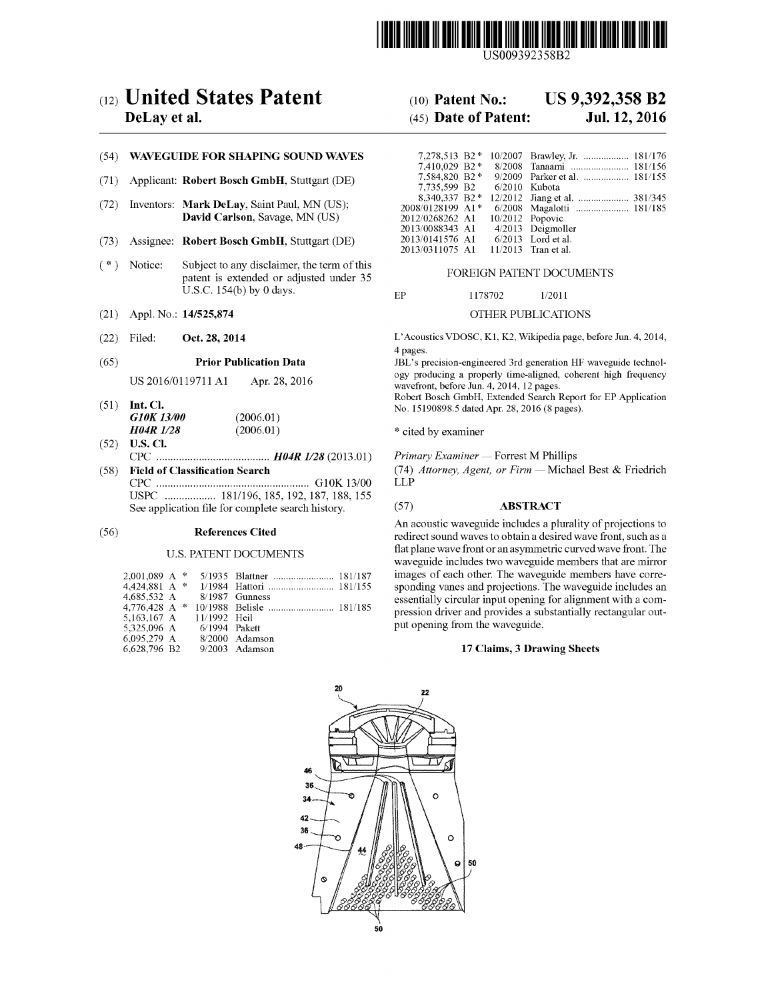

US009392358B2

# (12) United States Patent (10) Patent No.: US 9,392,358 B2<br>DeLay et al. (45) Date of Patent: Jul. 12, 2016

# (54) WAVEGUIDE FOR SHAPING SOUND WAVES

- (71) Applicant: Robert Bosch GmbH, Stuttgart (DE)
- (72) Inventors: Mark DeLay, Saint Paul, MN (US); <sup>200</sup>8. David Carlson, Savage, MN (US)
- (73) Assignee: Robert Bosch GmbH, Stuttgart (DE)
- (\*) Notice: Subject to any disclaimer, the term of this patent is extended or adjusted under 35 FOREIGN PATENT DOCUMENTS U.S.C. 154(b) by 0 days.  $EP$  1178702 1/2011
- (21) Appl. No.: 14/525,874 OTHER PUBLICATIONS
- 

|  | 51) Int. Cl.     |           |  |  |  |
|--|------------------|-----------|--|--|--|
|  | G10K 13/00       | (2006.01) |  |  |  |
|  | <b>H04R 1/28</b> | (2006.01) |  |  |  |

(52) U.S. Cl. CPC ........................................ H04R I/28 (2013.01) Primary Examiner — Forrest M Phillips (58) Field of Classification Search (74) Attorney, Agent, or Firm — Michael Best & Friedrich CPC  $\ldots$ CPC ...................................................... G1 OK 13/OO LLP

USPC .................. 181/196, 185, 192, 187, 188, 155 See application file for complete search history. (57) ABSTRACT

# U.S. PATENT DOCUMENTS

| $2,001,089$ A * |  |               |                  |  |
|-----------------|--|---------------|------------------|--|
| 4,424,881 A $*$ |  |               |                  |  |
| 4,685,532 A     |  |               | $8/1987$ Gunness |  |
| 4,776,428 A $*$ |  |               |                  |  |
| 5,163,167 A     |  | 11/1992 Heil  |                  |  |
| 5.325.096 A     |  | 6/1994 Pakett |                  |  |
| 6,095,279 A     |  |               | $8/2000$ Adamson |  |
| 6.628.796 B2    |  |               | $9/2003$ Adamson |  |
|                 |  |               |                  |  |

# $(45)$  Date of Patent:

| 7,278,513 B2*              |  | 10/2007 Brawley, Jr.  181/176 |
|----------------------------|--|-------------------------------|
| 7.410.029 B2*              |  | 8/2008 Tanaami  181/156       |
| 7.584,820 B2*              |  | 9/2009 Parker et al.  181/155 |
| 7,735,599 B2 6/2010 Kubota |  |                               |
| 8.340.337 B2 *             |  |                               |
| 2008/0128199 A1*           |  | 6/2008 Magalotti  181/185     |
| 2012/0268262 A1            |  | 10/2012 Popovic               |
| 2013/0088343 A1            |  | 4/2013 Deigmoller             |
| 2013/0141576 A1            |  | $6/2013$ Lord et al.          |
| 2013/0311075 A1            |  | $11/2013$ Tran et al.         |

(22) Filed: Oct. 28, 2014 L'Acoustics VDOSC, K1, K2, Wikipedia page, before Jun. 4, 2014, 4 pages.

(65) **Prior Publication Data** JBL's precision-engineered 3rd generation HF waveguide technology producing a properly time-aligned, coherent high frequency US 2016/O1 19711 A1 Apr. 28, 2016 wavefront, before Jun. 4, 2014, 12 pages.

Robert Bosch GmbH. Extended Search Report for EP Application (51) Int. Cl. No. 15190898.5 dated Apr. 28, 2016 (8 pages).

\* cited by examiner

An acoustic waveguide includes a plurality of projections to (56) References Cited redirect sound waves to obtain a desired wave front, such as a flat plane wave front or an asymmetric curved wave front. The waveguide includes two waveguide members that are mirror images of each other. The waveguide members have corre sponding Vanes and projections. The waveguide includes an essentially circular input opening for alignment with a com pression driver and provides a substantially rectangular output opening from the waveguide.

# 17 Claims, 3 Drawing Sheets

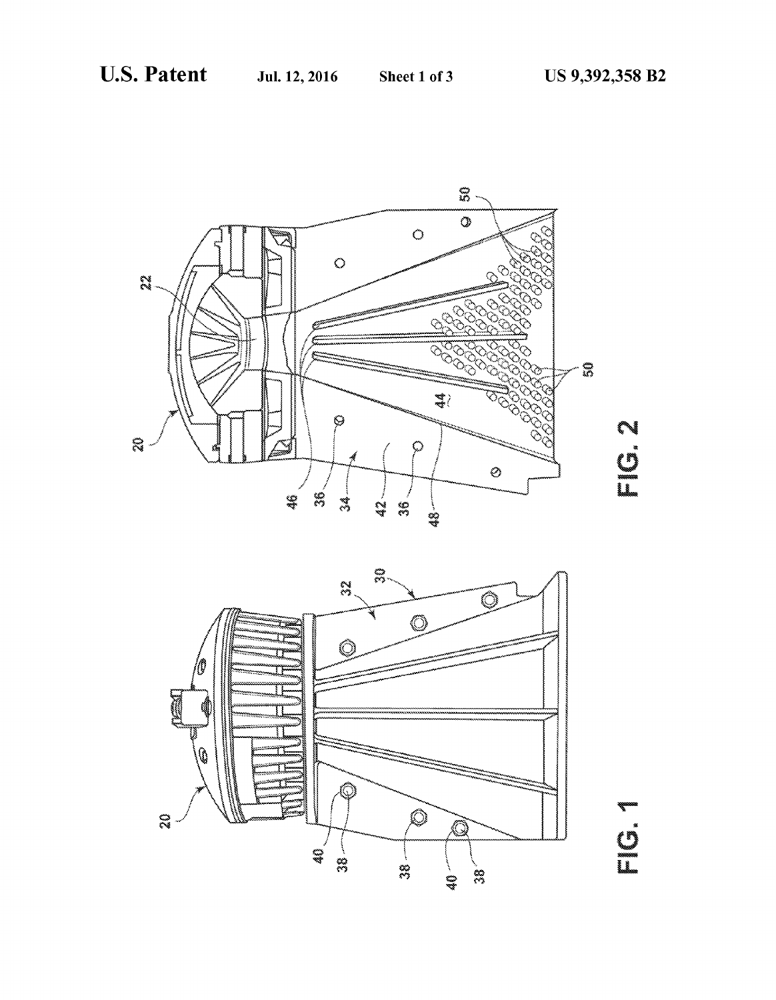



#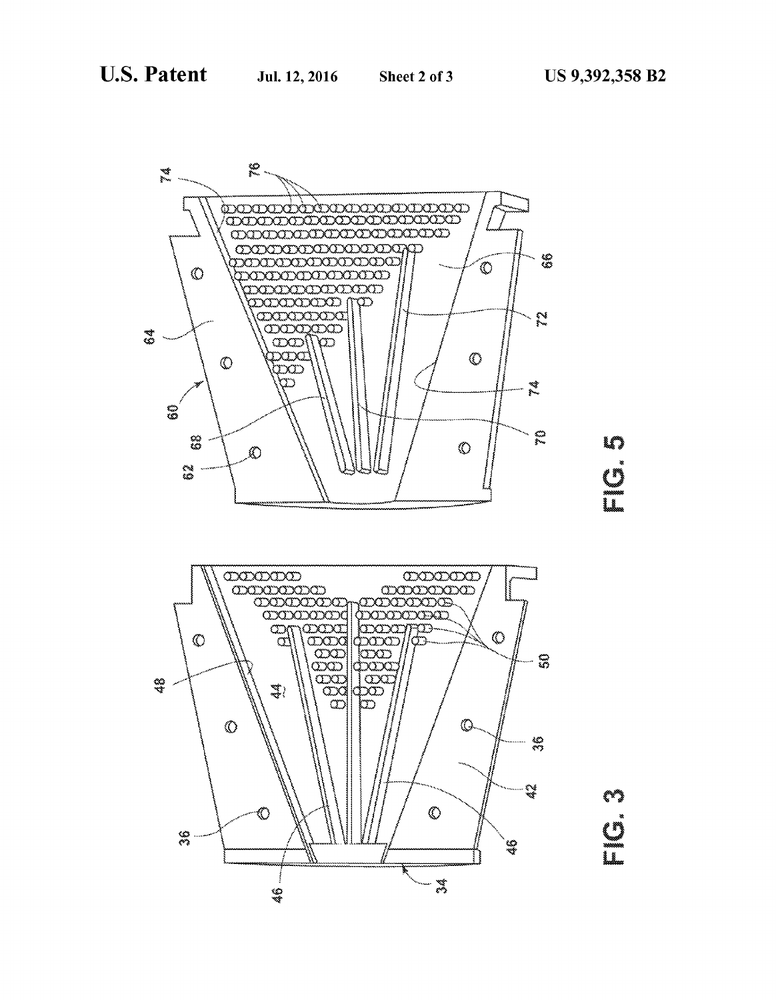





E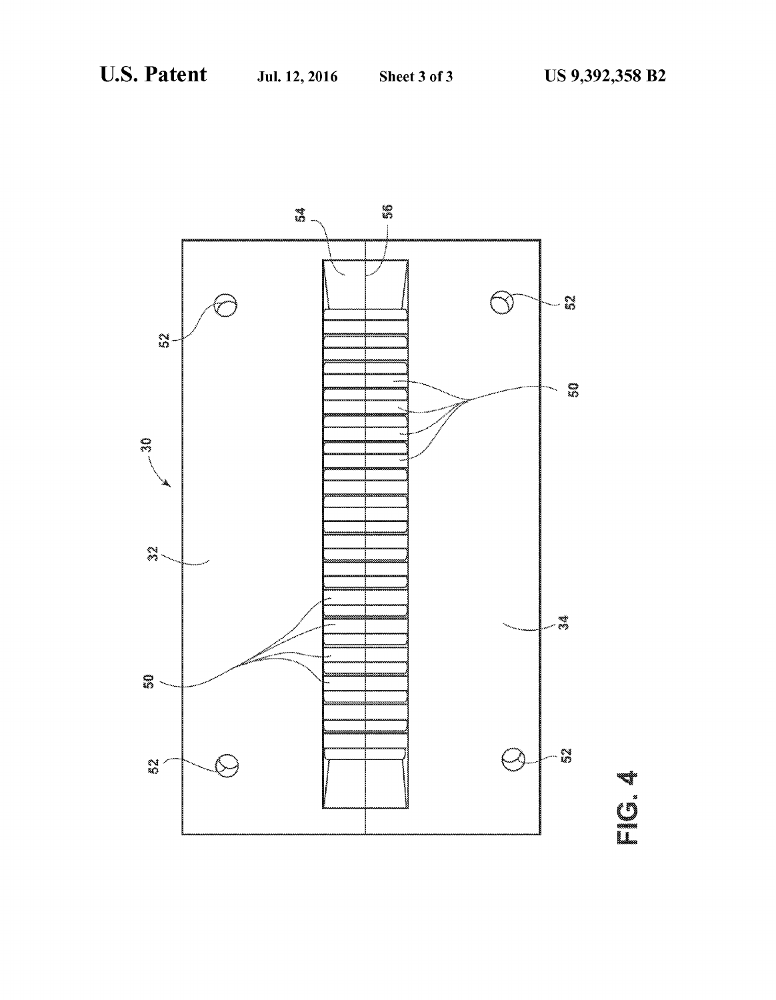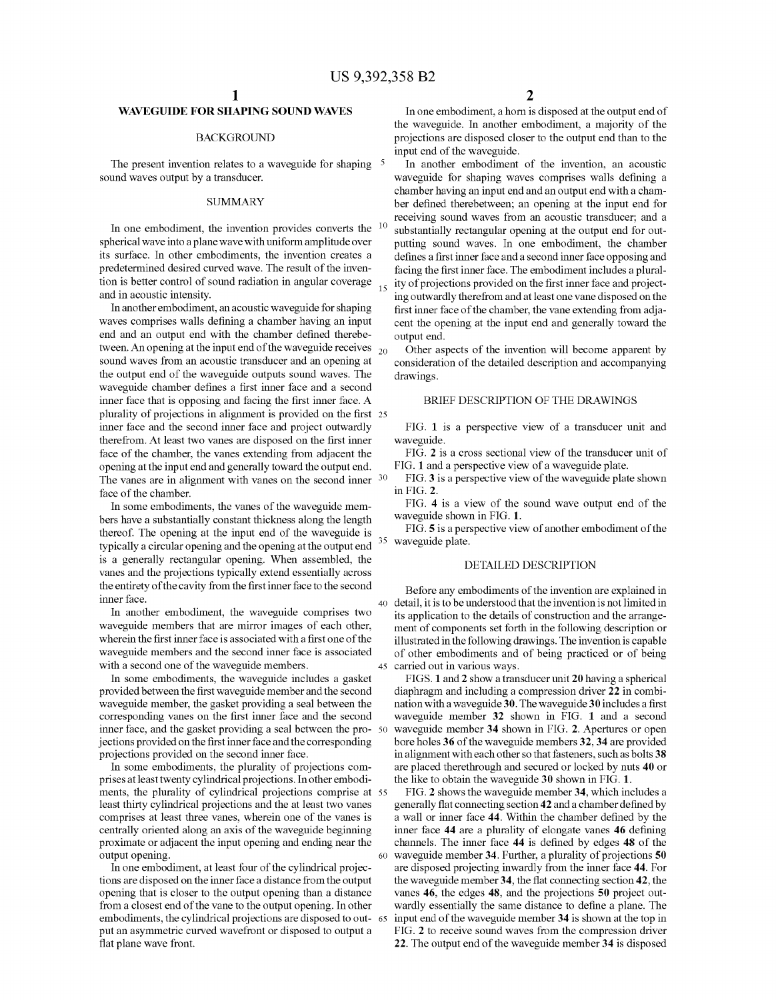10

45

60

65

# WAVEGUIDE FOR SHAPING SOUND WAVES

# BACKGROUND

The present invention relates to a waveguide for shaping <sup>5</sup> sound waves output by a transducer.

# **SUMMARY**

In one embodiment, the invention provides converts the spherical wave into a plane wave with uniform amplitude over its surface. In other embodiments, the invention creates a predetermined desired curved wave. The result of the inven tion is better control of Sound radiation in angular coverage 15 and in acoustic intensity.

In another embodiment, an acoustic waveguide for shaping waves comprises walls defining a chamber having an input end and an output end with the chamber defined therebe tween. An opening at the input end of the waveguide receives  $_{20}$ sound waves from an acoustic transducer and an opening at the output end of the waveguide outputs sound waves. The waveguide chamber defines a first inner face and a second inner face that is opposing and facing the first inner face. A plurality of projections in alignment is provided on the first 25 inner face and the second inner face and project outwardly therefrom. At least two vanes are disposed on the first inner face of the chamber, the Vanes extending from adjacent the opening at the input end and generally toward the output end. The vanes are in alignment with vanes on the second inner <sup>30</sup> face of the chamber.

In some embodiments, the Vanes of the waveguide mem bers have a substantially constant thickness along the length thereof. The opening at the input end of the waveguide is typically a circular opening and the opening at the output end is a generally rectangular opening. When assembled, the Vanes and the projections typically extend essentially across the entirety of the cavity from the first inner face to the second inner face.

In another embodiment, the waveguide comprises two waveguide members that are mirror images of each other, wherein the first inner face is associated with a first one of the waveguide members and the second inner face is associated with a second one of the waveguide members.<br>In some embodiments, the waveguide includes a gasket

provided between the first waveguide member and the second waveguide member, the gasket providing a seal between the corresponding Vanes on the first inner face and the second jections provided on the first inner face and the corresponding projections provided on the second inner face. inner face, and the gasket providing a seal between the pro- 50

In some embodiments, the plurality of projections com prises at least twenty cylindrical projections. In other embodi ments, the plurality of cylindrical projections comprise at 55 least thirty cylindrical projections and the at least two vanes comprises at least three vanes, wherein one of the vanes is centrally oriented along an axis of the waveguide beginning proximate or adjacent the input opening and ending near the output opening.

In one embodiment, at least four of the cylindrical projec opening that is closer to the output opening than a distance from a closest end of the Vane to the output opening. In other embodiments, the cylindrical projections are disposed to out put an asymmetric curved wavefront or disposed to output a flat plane wave front.

In one embodiment, a horn is disposed at the output end of the waveguide. In another embodiment, a majority of the projections are disposed closer to the output end than to the input end of the waveguide.

In another embodiment of the invention, an acoustic waveguide for shaping waves comprises walls defining a chamber having an input end and an output end with a cham ber defined therebetween; an opening at the input end for receiving sound waves from an acoustic transducer, and a substantially rectangular opening at the output end for outputting sound waves. In one embodiment, the chamber defines a first inner face and a second inner face opposing and<br>facing the first inner face. The embodiment includes a plurality of projections provided on the first inner face and projecting outwardly therefrom and at least one Vane disposed on the first inner face of the chamber, the Vane extending from adja cent the opening at the input end and generally toward the output end.

Other aspects of the invention will become apparent by consideration of the detailed description and accompanying drawings.

# BRIEF DESCRIPTION OF THE DRAWINGS

FIG. 1 is a perspective view of a transducer unit and waveguide.

FIG. 2 is a cross sectional view of the transducer unit of FIG. 1 and a perspective view of a waveguide plate.

FIG.3 is a perspective view of the waveguide plate shown in FIG. 2.

FIG. 4 is a view of the sound wave output end of the waveguide shown in FIG. 1.

35 FIG. 5 is a perspective view of another embodiment of the waveguide plate.

# DETAILED DESCRIPTION

40 detail, it is to be understood that the invention is not limited in Before any embodiments of the invention are explained in its application to the details of construction and the arrange ment of components set forth in the following description or illustrated in the following drawings. The invention is capable of other embodiments and of being practiced or of being

carried out in various ways.<br>FIGS. 1 and 2 show a transducer unit 20 having a spherical diaphragm and including a compression driver 22 in combination with a waveguide 30. The waveguide 30 includes a first waveguide member 32 shown in FIG. 1 and a second waveguide member 34 shown in FIG. 2. Apertures or open bore holes 36 of the waveguide members 32.34 are provided in alignment with each other so that fasteners, such as bolts 38 are placed therethrough and secured or locked by nuts 40 or the like to obtain the waveguide 30 shown in FIG. 1.

FIG. 2 shows the waveguide member 34, which includes a generally flat connecting section 42 and a chamber defined by a wall or inner face 44. Within the chamber defined by the inner face 44 are a plurality of elongate vanes 46 defining channels. The inner face 44 is defined by edges 48 of the waveguide member 34. Further, a plurality of projections 50 are disposed projecting inwardly from the inner face 44. For the waveguide member 34, the flat connecting section 42, the vanes 46, the edges 48, and the projections 50 project out wardly essentially the same distance to define a plane. The input end of the waveguide member 34 is shown at the top in FIG. 2 to receive sound waves from the compression driver 22. The output end of the waveguide member 34 is disposed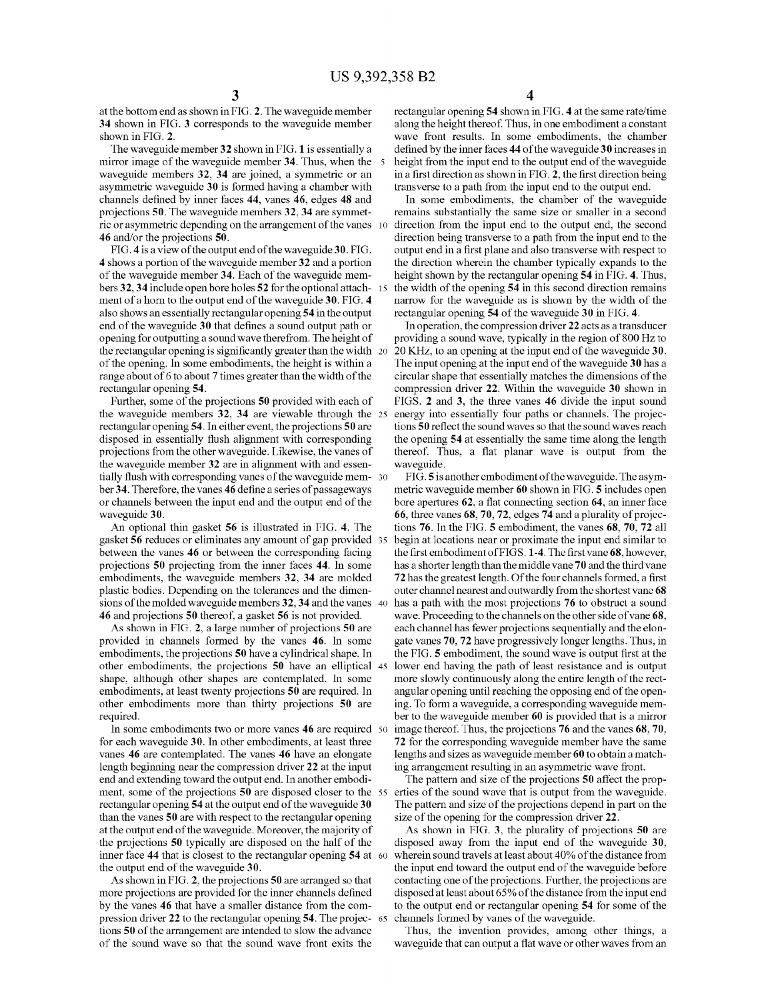at the bottom end as shown in FIG. 2. The waveguide member 34 shown in FIG. 3 corresponds to the waveguide member shown in FIG. 2.

The waveguide member 32 shown in FIG. 1 is essentially a mirror image of the waveguide member 34. Thus, when the 5 waveguide members 32, 34 are joined, a symmetric or an asymmetric waveguide 30 is formed having a chamber with channels defined by inner faces 44, vanes 46, edges 48 and projections 50. The waveguide members 32, 34 are symmetprojections 50. The waveguide members 32, 34 are symmet-<br>ric or asymmetric depending on the arrangement of the vanes 10 46 and/or the projections 50.

FIG. 4 is a view of the output end of the waveguide 30. FIG. 4 shows a portion of the waveguide member 32 and a portion of the waveguide member 34. Each of the waveguide mem bers 32, 34 include open bore holes 52 for the optional attach - 15 ment of a horn to the output end of the waveguide 30. FIG. 4 also shows an essentially rectangular opening 54 in the output end of the waveguide 30 that defines a sound output path or opening for outputting a sound wave therefrom. The height of the rectangular opening is significantly greater than the width 20 of the opening. In some embodiments, the height is within a range about of 6 to about 7 times greater than the width of the rectangular opening 54.

Further, some of the projections 50 provided with each of the waveguide members 32, 34 are viewable through the 25 rectangular opening 54. In either event, the projections 50 are disposed in essentially flush alignment with corresponding projections from the other waveguide. Likewise, the Vanes of the waveguide member 32 are in alignment with and essen tially flush with corresponding vanes of the waveguide mem- 30 ber 34. Therefore, the vanes 46 define a series of passageways or channels between the input end and the output end of the waveguide 30.

An optional thin gasket 56 is illustrated in FIG. 4. The gasket 56 reduces or eliminates any amount of gap provided 35 between the Vanes 46 or between the corresponding facing projections 50 projecting from the inner faces 44. In some embodiments, the waveguide members 32, 34 are molded plastic bodies. Depending on the tolerances and the dimen sions of the molded waveguide members  $32$ ,  $34$  and the vanes  $40$ 46 and projections 50 thereof, a gasket 56 is not provided.

As shown in FIG. 2, a large number of projections 50 are provided in channels formed by the vanes 46. In some embodiments, the projections 50 have a cylindrical shape. In shape, although other shapes are contemplated. In some embodiments, at least twenty projections 50 are required. In other embodiments more than thirty projections 50 are required. other embodiments, the projections 50 have an elliptical 45

In some embodiments two or more vanes **40** are required 50 for each waveguide 30. In other embodiments, at least three Vanes 46 are contemplated. The Vanes 46 have an elongate length beginning near the compression driver 22 at the input end and extending toward the output end. In another embodi ment, some of the projections 50 are disposed closer to the 55 rectangular opening 54 at the output end of the waveguide 30 than the Vanes 50 are with respect to the rectangular opening at the output end of the waveguide. Moreover, the majority of the projections 50 typically are disposed on the half of the inner face 44 that is closest to the rectangular opening 54 at 60 the output end of the waveguide 30.

As shown in FIG. 2, the projections 50 are arranged so that more projections are provided for the inner channels defined by the vanes 46 that have a smaller distance from the com pression driver 22 to the rectangular opening 54. The projec- 65 tions 50 of the arrangement are intended to slow the advance of the sound wave so that the sound wave front exits the

4

rectangular opening 54 shown in FIG. 4 at the same rate/time along the height thereof. Thus, in one embodiment a constant wave front results. In some embodiments, the chamber defined by the inner faces 44 of the waveguide 30 increases in height from the input end to the output end of the waveguide in a first direction as shown in FIG. 2, the first direction being

transverse to a path from the input end to the output end.<br>In some embodiments, the chamber of the waveguide remains substantially the same size or smaller in a second direction from the input end to the output end, the second direction being transverse to a path from the input end to the output end in a first plane and also transverse with respect to the direction wherein the chamber typically expands to the height shown by the rectangular opening 54 in FIG. 4. Thus, the width of the opening 54 in this second direction remains narrow for the waveguide as is shown by the width of the rectangular opening 54 of the waveguide 30 in FIG. 4.

In operation, the compression driver 22 acts as a transducer providing a sound wave, typically in the region of 800 Hz to 20 KHZ, to an opening at the input end of the waveguide 30. The input opening at the input end of the waveguide 30 has a circular shape that essentially matches the dimensions of the compression driver 22. Within the waveguide 30 shown in FIGS. 2 and 3, the three vanes 46 divide the input sound energy into essentially four paths or channels. The projec tions 50 reflect the sound waves so that the sound waves reach the opening 54 at essentially the same time along the length thereof. Thus, a flat planar wave is output from the waveguide.

FIG.5 is another embodiment of the waveguide. The asym metric waveguide member 60 shown in FIG. 5 includes open bore apertures 62, a flat connecting section 64, an inner face 66, three vanes 68, 70, 72, edges 74 and a plurality of projec tions 76. In the FIG. 5 embodiment, the vanes 68, 70, 72 all begin at locations near or proximate the input end similar to the first embodiment of FIGS. 1-4. The first vane 68, however, has a shorter length than the middle vane 70 and the third vane 72 has the greatest length. Of the four channels formed, a first outer channel nearest and outwardly from the shortest vane 68 has a path with the most projections 76 to obstruct a sound wave. Proceeding to the channels on the other side of vane 68, each channel has fewer projections sequentially and the elon gate vanes 70, 72 have progressively longer lengths. Thus, in the FIG. 5 embodiment, the sound wave is output first at the lower end having the path of least resistance and is output more slowly continuously along the entire length of the rect-<br>angular opening until reaching the opposing end of the opening. To form a waveguide, a corresponding waveguide member to the waveguide member 60 is provided that is a mirror image thereof. Thus, the projections 76 and the vanes 68,70. 72 for the corresponding waveguide member have the same lengths and sizes as waveguide member 60 to obtain a match ing arrangement resulting in an asymmetric wave front.

The pattern and size of the projections 50 affect the properties of the sound wave that is output from the waveguide. The pattern and size of the projections depend in part on the size of the opening for the compression driver 22.

As shown in FIG. 3, the plurality of projections 50 are disposed away from the input end of the waveguide 30, wherein sound travels at least about 40% of the distance from the input end toward the output end of the waveguide before contacting one of the projections. Further, the projections are disposed at least about 65% of the distance from the input end to the output end or rectangular opening 54 for some of the channels formed by vanes of the waveguide.

Thus, the invention provides, among other things, a waveguide that can output a flat wave or other waves from an